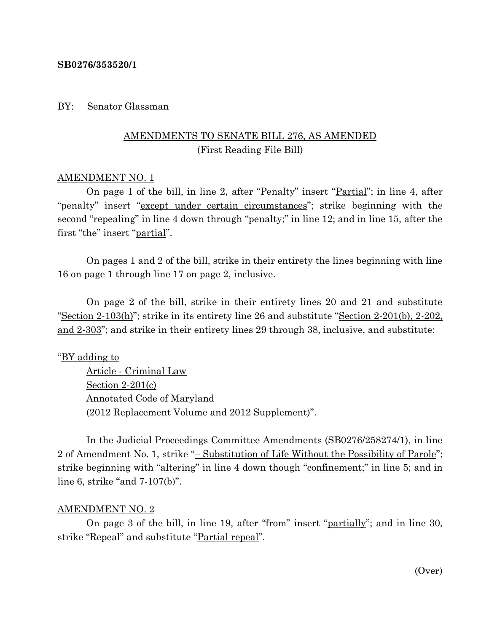#### **SB0276/353520/1**

#### BY: Senator Glassman

## AMENDMENTS TO SENATE BILL 276, AS AMENDED (First Reading File Bill)

#### AMENDMENT NO. 1

On page 1 of the bill, in line 2, after "Penalty" insert "Partial"; in line 4, after "penalty" insert "except under certain circumstances"; strike beginning with the second "repealing" in line 4 down through "penalty;" in line 12; and in line 15, after the first "the" insert "<u>partial</u>".

On pages 1 and 2 of the bill, strike in their entirety the lines beginning with line 16 on page 1 through line 17 on page 2, inclusive.

On page 2 of the bill, strike in their entirety lines 20 and 21 and substitute "Section  $2-103(h)$ "; strike in its entirety line 26 and substitute "Section  $2-201(h)$ ,  $2-202$ , and 2-303"; and strike in their entirety lines 29 through 38, inclusive, and substitute:

#### "BY adding to

Article - Criminal Law Section 2-201(c) Annotated Code of Maryland (2012 Replacement Volume and 2012 Supplement)".

In the Judicial Proceedings Committee Amendments (SB0276/258274/1), in line 2 of Amendment No. 1, strike "– Substitution of Life Without the Possibility of Parole"; strike beginning with "altering" in line 4 down though "confinement;" in line 5; and in line 6, strike "and 7-107(b)".

#### AMENDMENT NO. 2

On page 3 of the bill, in line 19, after "from" insert "partially"; and in line 30, strike "Repeal" and substitute "Partial repeal".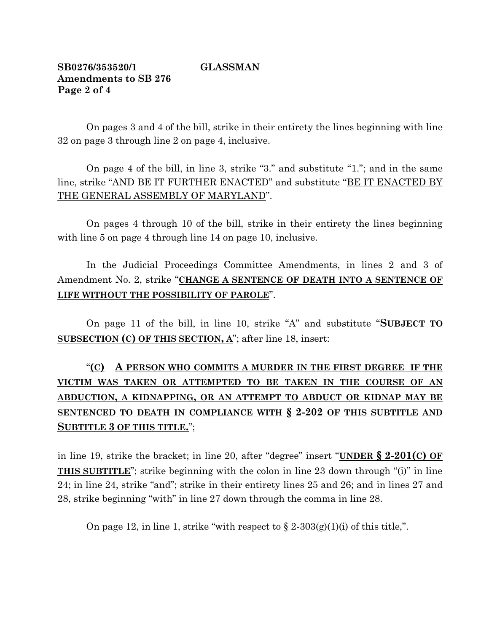## **SB0276/353520/1 GLASSMAN Amendments to SB 276 Page 2 of 4**

On pages 3 and 4 of the bill, strike in their entirety the lines beginning with line 32 on page 3 through line 2 on page 4, inclusive.

On page 4 of the bill, in line 3, strike "3." and substitute "1."; and in the same line, strike "AND BE IT FURTHER ENACTED" and substitute "BE IT ENACTED BY THE GENERAL ASSEMBLY OF MARYLAND".

On pages 4 through 10 of the bill, strike in their entirety the lines beginning with line 5 on page 4 through line 14 on page 10, inclusive.

In the Judicial Proceedings Committee Amendments, in lines 2 and 3 of Amendment No. 2, strike "**CHANGE A SENTENCE OF DEATH INTO A SENTENCE OF LIFE WITHOUT THE POSSIBILITY OF PAROLE**".

On page 11 of the bill, in line 10, strike "A" and substitute "**SUBJECT TO SUBSECTION (C) OF THIS SECTION, A**"; after line 18, insert:

# "**(C) A PERSON WHO COMMITS A MURDER IN THE FIRST DEGREE IF THE VICTIM WAS TAKEN OR ATTEMPTED TO BE TAKEN IN THE COURSE OF AN ABDUCTION, A KIDNAPPING, OR AN ATTEMPT TO ABDUCT OR KIDNAP MAY BE SENTENCED TO DEATH IN COMPLIANCE WITH § 2-202 OF THIS SUBTITLE AND SUBTITLE 3 OF THIS TITLE.**";

in line 19, strike the bracket; in line 20, after "degree" insert "**UNDER § 2-201(C) OF THIS SUBTITLE**"; strike beginning with the colon in line 23 down through "(i)" in line 24; in line 24, strike "and"; strike in their entirety lines 25 and 26; and in lines 27 and 28, strike beginning "with" in line 27 down through the comma in line 28.

On page 12, in line 1, strike "with respect to  $\S 2-303(g)(1)(i)$  of this title,".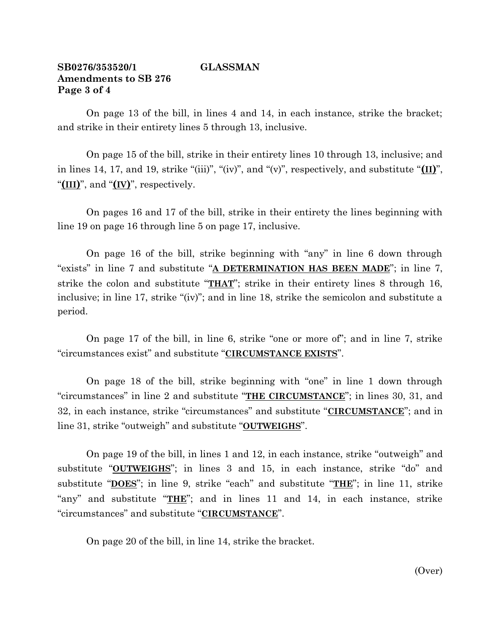### **SB0276/353520/1 GLASSMAN Amendments to SB 276 Page 3 of 4**

On page 13 of the bill, in lines 4 and 14, in each instance, strike the bracket; and strike in their entirety lines 5 through 13, inclusive.

On page 15 of the bill, strike in their entirety lines 10 through 13, inclusive; and in lines 14, 17, and 19, strike "(iii)", "(iv)", and "(v)", respectively, and substitute "**(II)**", "**(III)**", and "**(IV)**", respectively.

On pages 16 and 17 of the bill, strike in their entirety the lines beginning with line 19 on page 16 through line 5 on page 17, inclusive.

On page 16 of the bill, strike beginning with "any" in line 6 down through "exists" in line 7 and substitute "**A DETERMINATION HAS BEEN MADE**"; in line 7, strike the colon and substitute "**THAT**"; strike in their entirety lines 8 through 16, inclusive; in line 17, strike "(iv)"; and in line 18, strike the semicolon and substitute a period.

On page 17 of the bill, in line 6, strike "one or more of"; and in line 7, strike "circumstances exist" and substitute "**CIRCUMSTANCE EXISTS**".

On page 18 of the bill, strike beginning with "one" in line 1 down through "circumstances" in line 2 and substitute "**THE CIRCUMSTANCE**"; in lines 30, 31, and 32, in each instance, strike "circumstances" and substitute "**CIRCUMSTANCE**"; and in line 31, strike "outweigh" and substitute "**OUTWEIGHS**".

On page 19 of the bill, in lines 1 and 12, in each instance, strike "outweigh" and substitute "**OUTWEIGHS**"; in lines 3 and 15, in each instance, strike "do" and substitute "**DOES**"; in line 9, strike "each" and substitute "**THE**"; in line 11, strike "any" and substitute "**THE**"; and in lines 11 and 14, in each instance, strike "circumstances" and substitute "**CIRCUMSTANCE**".

On page 20 of the bill, in line 14, strike the bracket.